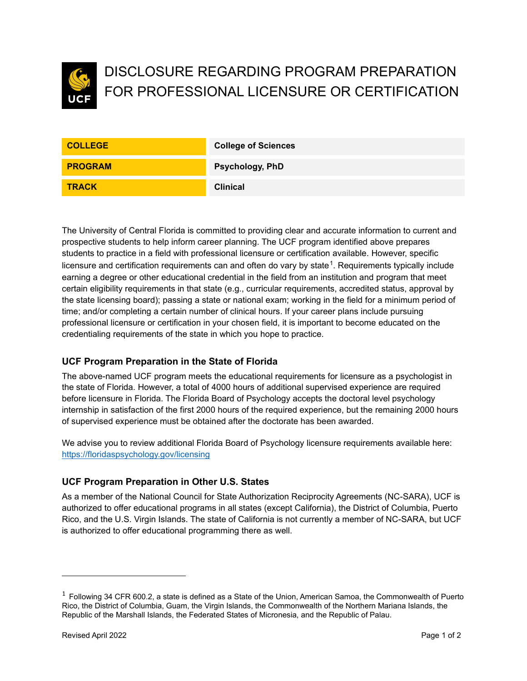

# DISCLOSURE REGARDING PROGRAM PREPARATION FOR PROFESSIONAL LICENSURE OR CERTIFICATION

| <b>COLLEGE</b> | <b>College of Sciences</b> |
|----------------|----------------------------|
| <b>PROGRAM</b> | <b>Psychology, PhD</b>     |
| <b>TRACK</b>   | <b>Clinical</b>            |

The University of Central Florida is committed to providing clear and accurate information to current and prospective students to help inform career planning. The UCF program identified above prepares students to practice in a field with professional licensure or certification available. However, specific licensure and certification requirements can and often do vary by state $^1$  $^1$ . Requirements typically include earning a degree or other educational credential in the field from an institution and program that meet certain eligibility requirements in that state (e.g., curricular requirements, accredited status, approval by the state licensing board); passing a state or national exam; working in the field for a minimum period of time; and/or completing a certain number of clinical hours. If your career plans include pursuing professional licensure or certification in your chosen field, it is important to become educated on the credentialing requirements of the state in which you hope to practice.

## **UCF Program Preparation in the State of Florida**

The above-named UCF program meets the educational requirements for licensure as a psychologist in the state of Florida. However, a total of 4000 hours of additional supervised experience are required before licensure in Florida. The Florida Board of Psychology accepts the doctoral level psychology internship in satisfaction of the first 2000 hours of the required experience, but the remaining 2000 hours of supervised experience must be obtained after the doctorate has been awarded.

We advise you to review additional Florida Board of Psychology licensure requirements available here: [https://floridaspsychology.gov/l](https://floridaspsychology.gov/)icensing

### **UCF Program Preparation in Other U.S. States**

As a member of the National Council for State Authorization Reciprocity Agreements (NC-SARA), UCF is authorized to offer educational programs in all states (except California), the District of Columbia, Puerto Rico, and the U.S. Virgin Islands. The state of California is not currently a member of NC-SARA, but UCF is authorized to offer educational programming there as well.

<span id="page-0-0"></span> $1$  Following 34 CFR 600.2, a state is defined as a State of the Union, American Samoa, the Commonwealth of Puerto Rico, the District of Columbia, Guam, the Virgin Islands, the Commonwealth of the Northern Mariana Islands, the Republic of the Marshall Islands, the Federated States of Micronesia, and the Republic of Palau.